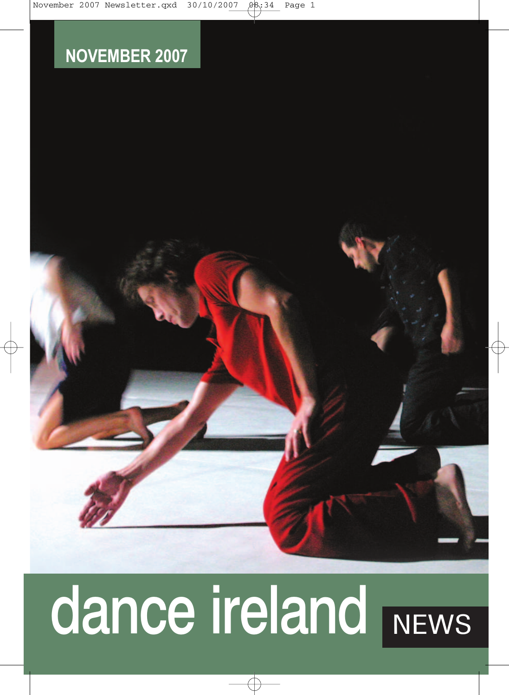# **NOVEMBER 2007**

# dance ireland NEWS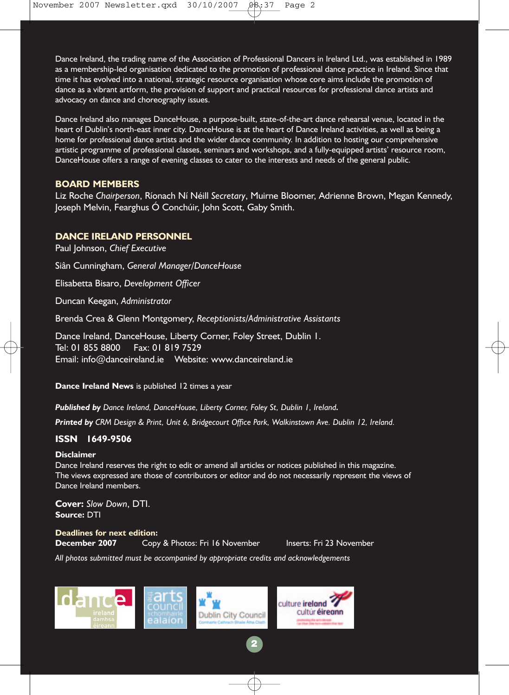Dance Ireland, the trading name of the Association of Professional Dancers in Ireland Ltd., was established in 1989 as a membership-led organisation dedicated to the promotion of professional dance practice in Ireland. Since that time it has evolved into a national, strategic resource organisation whose core aims include the promotion of dance as a vibrant artform, the provision of support and practical resources for professional dance artists and advocacy on dance and choreography issues.

Dance Ireland also manages DanceHouse, a purpose-built, state-of-the-art dance rehearsal venue, located in the heart of Dublin's north-east inner city. DanceHouse is at the heart of Dance Ireland activities, as well as being a home for professional dance artists and the wider dance community. In addition to hosting our comprehensive artistic programme of professional classes, seminars and workshops, and a fully-equipped artists' resource room, DanceHouse offers a range of evening classes to cater to the interests and needs of the general public.

### **BOARD MEMBERS**

Liz Roche *Chairperson*, Ríonach Ní Néill *Secretary*, Muirne Bloomer, Adrienne Brown, Megan Kennedy, Joseph Melvin, Fearghus Ó Conchúir, John Scott, Gaby Smith.

### **DANCE IRELAND PERSONNEL**

Paul Johnson, *Chief Executive* Siân Cunningham, *General Manager/DanceHouse*  Elisabetta Bisaro, *Development Officer* Duncan Keegan, *Administrator*  Brenda Crea & Glenn Montgomery, *Receptionists/Administrative Assistants*  Dance Ireland, DanceHouse, Liberty Corner, Foley Street, Dublin 1. Tel: 01 855 8800 Fax: 01 819 7529

Email: info@danceireland.ie Website: www.danceireland.ie

**Dance Ireland News** is published 12 times a year

*Published by Dance Ireland, DanceHouse, Liberty Corner, Foley St, Dublin 1, Ireland.*

*Printed by CRM Design & Print, Unit 6, Bridgecourt Office Park, Walkinstown Ave. Dublin 12, Ireland.*

### **ISSN 1649-9506**

### **Disclaimer**

Dance Ireland reserves the right to edit or amend all articles or notices published in this magazine. The views expressed are those of contributors or editor and do not necessarily represent the views of Dance Ireland members.

**2**

**Cover:** *Slow Down*, DTI. **Source:** DTI

**Deadlines for next edition:**

**December 2007** Copy & Photos: Fri 16 November Inserts: Fri 23 November

*All photos submitted must be accompanied by appropriate credits and acknowledgements*

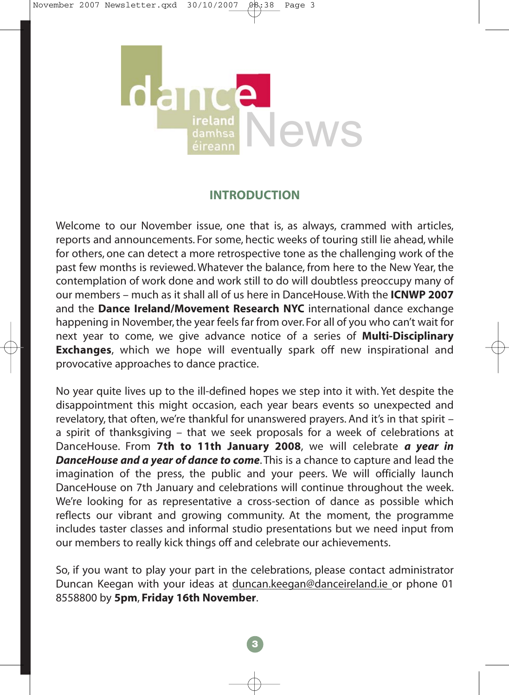

# **INTRODUCTION**

Welcome to our November issue, one that is, as always, crammed with articles, reports and announcements. For some, hectic weeks of touring still lie ahead, while for others, one can detect a more retrospective tone as the challenging work of the past few months is reviewed. Whatever the balance, from here to the New Year, the contemplation of work done and work still to do will doubtless preoccupy many of our members – much as it shall all of us here in DanceHouse. With the **ICNWP 2007** and the **Dance Ireland/Movement Research NYC** international dance exchange happening in November, the year feels far from over. For all of you who can't wait for next year to come, we give advance notice of a series of **Multi-Disciplinary Exchanges**, which we hope will eventually spark off new inspirational and provocative approaches to dance practice.

No year quite lives up to the ill-defined hopes we step into it with. Yet despite the disappointment this might occasion, each year bears events so unexpected and revelatory, that often, we're thankful for unanswered prayers. And it's in that spirit – a spirit of thanksgiving – that we seek proposals for a week of celebrations at DanceHouse. From **7th to 11th January 2008**, we will celebrate *a year in DanceHouse and a year of dance to come*. This is a chance to capture and lead the imagination of the press, the public and your peers. We will officially launch DanceHouse on 7th January and celebrations will continue throughout the week. We're looking for as representative a cross-section of dance as possible which reflects our vibrant and growing community. At the moment, the programme includes taster classes and informal studio presentations but we need input from our members to really kick things off and celebrate our achievements.

So, if you want to play your part in the celebrations, please contact administrator Duncan Keegan with your ideas at duncan.keegan@danceireland.ie or phone 01 8558800 by **5pm**, **Friday 16th November**.

**3**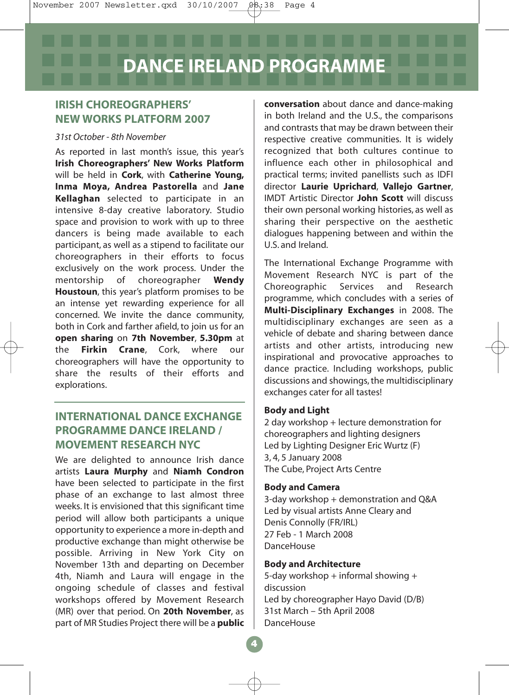# **IRISH CHOREOGRAPHERS' NEW WORKS PLATFORM 2007**

### *31st October - 8th November*

As reported in last month's issue, this year's **Irish Choreographers' New Works Platform** will be held in **Cork**, with **Catherine Young, Inma Moya, Andrea Pastorella** and **Jane Kellaghan** selected to participate in an intensive 8-day creative laboratory. Studio space and provision to work with up to three dancers is being made available to each participant, as well as a stipend to facilitate our choreographers in their efforts to focus exclusively on the work process. Under the mentorship of choreographer **Wendy Houstoun**, this year's platform promises to be an intense yet rewarding experience for all concerned. We invite the dance community, both in Cork and farther afield, to join us for an **open sharing** on **7th November**, **5.30pm** at the **Firkin Crane**, Cork, where our choreographers will have the opportunity to share the results of their efforts and explorations.

# **INTERNATIONAL DANCE EXCHANGE PROGRAMME DANCE IRELAND / MOVEMENT RESEARCH NYC**

We are delighted to announce Irish dance artists **Laura Murphy** and **Niamh Condron** have been selected to participate in the first phase of an exchange to last almost three weeks. It is envisioned that this significant time period will allow both participants a unique opportunity to experience a more in-depth and productive exchange than might otherwise be possible. Arriving in New York City on November 13th and departing on December 4th, Niamh and Laura will engage in the ongoing schedule of classes and festival workshops offered by Movement Research (MR) over that period. On **20th November**, as part of MR Studies Project there will be a **public** **conversation** about dance and dance-making in both Ireland and the U.S., the comparisons and contrasts that may be drawn between their respective creative communities. It is widely recognized that both cultures continue to influence each other in philosophical and practical terms; invited panellists such as IDFI director **Laurie Uprichard**, **Vallejo Gartner**, IMDT Artistic Director **John Scott** will discuss their own personal working histories, as well as sharing their perspective on the aesthetic dialogues happening between and within the U.S. and Ireland.

The International Exchange Programme with Movement Research NYC is part of the Choreographic Services and Research programme, which concludes with a series of **Multi-Disciplinary Exchanges** in 2008. The multidisciplinary exchanges are seen as a vehicle of debate and sharing between dance artists and other artists, introducing new inspirational and provocative approaches to dance practice. Including workshops, public discussions and showings, the multidisciplinary exchanges cater for all tastes!

### **Body and Light**

2 day workshop + lecture demonstration for choreographers and lighting designers Led by Lighting Designer Eric Wurtz (F) 3, 4, 5 January 2008 The Cube, Project Arts Centre

### **Body and Camera**

3-day workshop + demonstration and Q&A Led by visual artists Anne Cleary and Denis Connolly (FR/IRL) 27 Feb - 1 March 2008 **DanceHouse** 

### **Body and Architecture**

5-day workshop  $+$  informal showing  $+$ discussion Led by choreographer Hayo David (D/B) 31st March – 5th April 2008 DanceHouse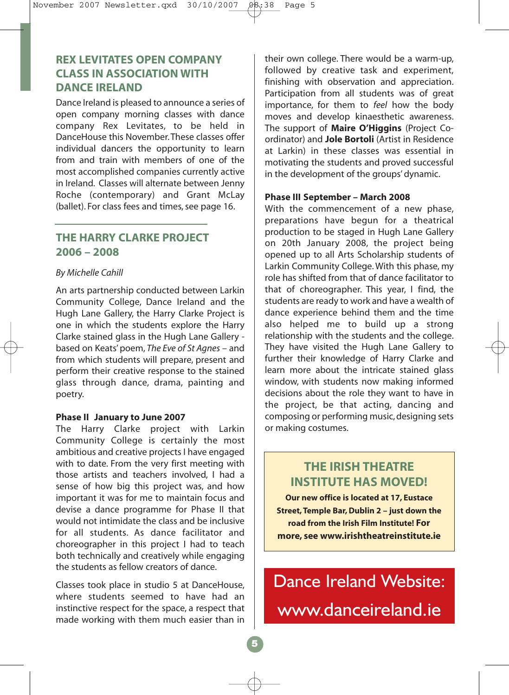# **REX LEVITATES OPEN COMPANY CLASS IN ASSOCIATION WITH DANCE IRELAND**

Dance Ireland is pleased to announce a series of open company morning classes with dance company Rex Levitates, to be held in DanceHouse this November. These classes offer individual dancers the opportunity to learn from and train with members of one of the most accomplished companies currently active in Ireland. Classes will alternate between Jenny Roche (contemporary) and Grant McLay (ballet). For class fees and times, see page 16.

# **THE HARRY CLARKE PROJECT 2006 – 2008**

### *By Michelle Cahill*

An arts partnership conducted between Larkin Community College, Dance Ireland and the Hugh Lane Gallery, the Harry Clarke Project is one in which the students explore the Harry Clarke stained glass in the Hugh Lane Gallery based on Keats' poem, *The Eve of St Agnes* – and from which students will prepare, present and perform their creative response to the stained glass through dance, drama, painting and poetry.

### **Phase II January to June 2007**

The Harry Clarke project with Larkin Community College is certainly the most ambitious and creative projects I have engaged with to date. From the very first meeting with those artists and teachers involved, I had a sense of how big this project was, and how important it was for me to maintain focus and devise a dance programme for Phase II that would not intimidate the class and be inclusive for all students. As dance facilitator and choreographer in this project I had to teach both technically and creatively while engaging the students as fellow creators of dance.

Classes took place in studio 5 at DanceHouse, where students seemed to have had an instinctive respect for the space, a respect that made working with them much easier than in their own college. There would be a warm-up, followed by creative task and experiment, finishing with observation and appreciation. Participation from all students was of great importance, for them to *feel* how the body moves and develop kinaesthetic awareness. The support of **Maire O'Higgins** (Project Coordinator) and **Jole Bortoli** (Artist in Residence at Larkin) in these classes was essential in motivating the students and proved successful in the development of the groups' dynamic.

### **Phase III September – March 2008**

With the commencement of a new phase, preparations have begun for a theatrical production to be staged in Hugh Lane Gallery on 20th January 2008, the project being opened up to all Arts Scholarship students of Larkin Community College. With this phase, my role has shifted from that of dance facilitator to that of choreographer. This year, I find, the students are ready to work and have a wealth of dance experience behind them and the time also helped me to build up a strong relationship with the students and the college. They have visited the Hugh Lane Gallery to further their knowledge of Harry Clarke and learn more about the intricate stained glass window, with students now making informed decisions about the role they want to have in the project, be that acting, dancing and composing or performing music, designing sets or making costumes.

# **THE IRISH THEATRE INSTITUTE HAS MOVED!**

**Our new office is located at 17, Eustace Street, Temple Bar, Dublin 2 – just down the road from the Irish Film Institute! For more, see www.irishtheatreinstitute.ie** 

Dance Ireland Website: www.danceireland.ie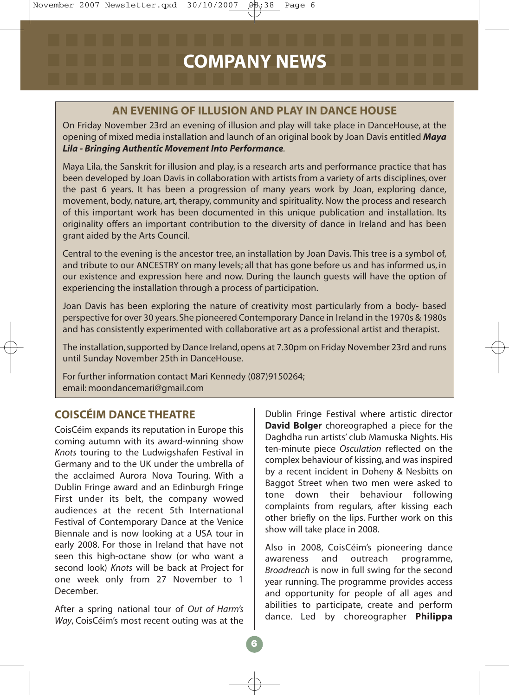# **AN EVENING OF ILLUSION AND PLAY IN DANCE HOUSE**

On Friday November 23rd an evening of illusion and play will take place in DanceHouse, at the opening of mixed media installation and launch of an original book by Joan Davis entitled *Maya Lila - Bringing Authentic Movement Into Performance.*

Maya Lila, the Sanskrit for illusion and play, is a research arts and performance practice that has been developed by Joan Davis in collaboration with artists from a variety of arts disciplines, over the past 6 years. It has been a progression of many years work by Joan, exploring dance, movement, body, nature, art, therapy, community and spirituality. Now the process and research of this important work has been documented in this unique publication and installation. Its originality offers an important contribution to the diversity of dance in Ireland and has been grant aided by the Arts Council.

Central to the evening is the ancestor tree, an installation by Joan Davis. This tree is a symbol of, and tribute to our ANCESTRY on many levels; all that has gone before us and has informed us, in our existence and expression here and now. During the launch guests will have the option of experiencing the installation through a process of participation.

Joan Davis has been exploring the nature of creativity most particularly from a body- based perspective for over 30 years. She pioneered Contemporary Dance in Ireland in the 1970s & 1980s and has consistently experimented with collaborative art as a professional artist and therapist.

The installation, supported by Dance Ireland, opens at 7.30pm on Friday November 23rd and runs until Sunday November 25th in DanceHouse.

For further information contact Mari Kennedy (087)9150264; email: moondancemari@gmail.com

# **COISCÉIM DANCE THEATRE**

CoisCéim expands its reputation in Europe this coming autumn with its award-winning show *Knots* touring to the Ludwigshafen Festival in Germany and to the UK under the umbrella of the acclaimed Aurora Nova Touring. With a Dublin Fringe award and an Edinburgh Fringe First under its belt, the company wowed audiences at the recent 5th International Festival of Contemporary Dance at the Venice Biennale and is now looking at a USA tour in early 2008. For those in Ireland that have not seen this high-octane show (or who want a second look) *Knots* will be back at Project for one week only from 27 November to 1 December.

After a spring national tour of *Out of Harm's Way*, CoisCéim's most recent outing was at the Dublin Fringe Festival where artistic director **David Bolger** choreographed a piece for the Daghdha run artists' club Mamuska Nights. His ten-minute piece *Osculation* reflected on the complex behaviour of kissing, and was inspired by a recent incident in Doheny & Nesbitts on Baggot Street when two men were asked to tone down their behaviour following complaints from regulars, after kissing each other briefly on the lips. Further work on this show will take place in 2008.

Also in 2008, CoisCéim's pioneering dance awareness and outreach programme, *Broadreach* is now in full swing for the second year running. The programme provides access and opportunity for people of all ages and abilities to participate, create and perform dance. Led by choreographer **Philippa**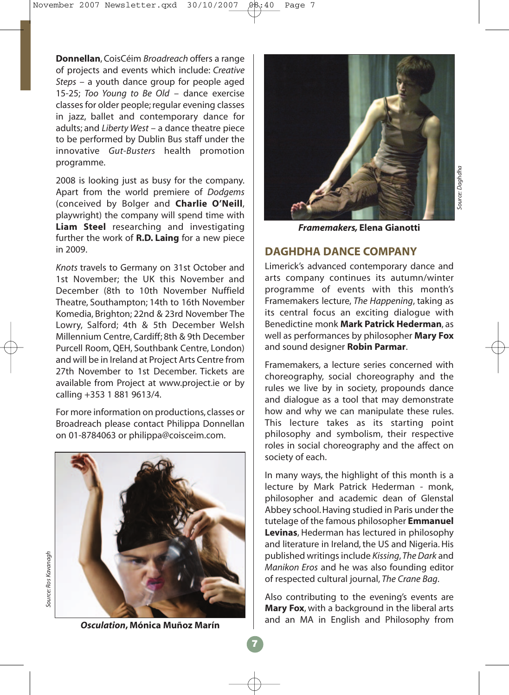**Donnellan**, CoisCéim *Broadreach* offers a range of projects and events which include: *Creative Steps* – a youth dance group for people aged 15-25; *Too Young to Be Old* – dance exercise classes for older people; regular evening classes in jazz, ballet and contemporary dance for adults; and *Liberty West* – a dance theatre piece to be performed by Dublin Bus staff under the innovative *Gut-Busters* health promotion programme.

2008 is looking just as busy for the company. Apart from the world premiere of *Dodgems* (conceived by Bolger and **Charlie O'Neill**, playwright) the company will spend time with **Liam Steel** researching and investigating further the work of **R.D. Laing** for a new piece in 2009.

*Knots* travels to Germany on 31st October and 1st November; the UK this November and December (8th to 10th November Nuffield Theatre, Southampton; 14th to 16th November Komedia, Brighton; 22nd & 23rd November The Lowry, Salford; 4th & 5th December Welsh Millennium Centre, Cardiff; 8th & 9th December Purcell Room, QEH, Southbank Centre, London) and will be in Ireland at Project Arts Centre from 27th November to 1st December. Tickets are available from Project at www.project.ie or by calling +353 1 881 9613/4.

For more information on productions, classes or Broadreach please contact Philippa Donnellan on 01-8784063 or philippa@coisceim.com.





*Framemakers,* **Elena Gianotti**

# **DAGHDHA DANCE COMPANY**

Limerick's advanced contemporary dance and arts company continues its autumn/winter programme of events with this month's Framemakers lecture, *The Happening*, taking as its central focus an exciting dialogue with Benedictine monk **Mark Patrick Hederman**, as well as performances by philosopher **Mary Fox** and sound designer **Robin Parmar**.

Framemakers, a lecture series concerned with choreography, social choreography and the rules we live by in society, propounds dance and dialogue as a tool that may demonstrate how and why we can manipulate these rules. This lecture takes as its starting point philosophy and symbolism, their respective roles in social choreography and the affect on society of each.

In many ways, the highlight of this month is a lecture by Mark Patrick Hederman - monk, philosopher and academic dean of Glenstal Abbey school. Having studied in Paris under the tutelage of the famous philosopher **Emmanuel Levinas**, Hederman has lectured in philosophy and literature in Ireland, the US and Nigeria. His published writings include *Kissing*,*The Dark* and *Manikon Eros* and he was also founding editor of respected cultural journal, *The Crane Bag*.

Also contributing to the evening's events are **Mary Fox**, with a background in the liberal arts and an MA in English and Philosophy from

*Osculation***, Mónica Muñoz Marín**

*Source: Ros Kavanagh*

Source: Ros Kavanaah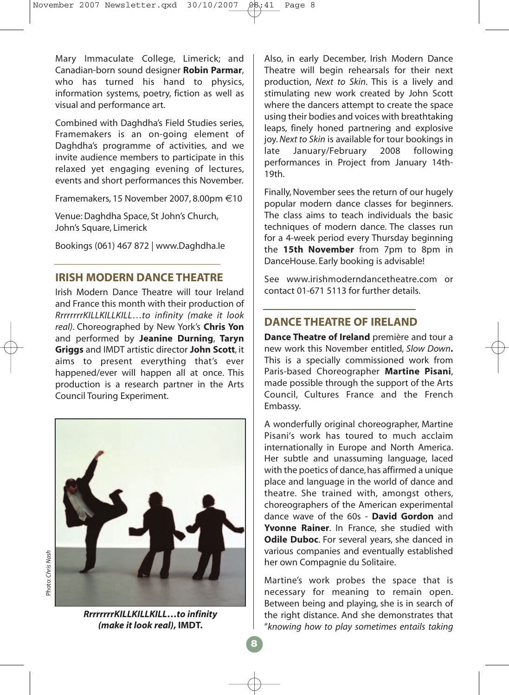Mary Immaculate College, Limerick; and Canadian-born sound designer **Robin Parmar**, who has turned his hand to physics, information systems, poetry, fiction as well as visual and performance art.

Combined with Daghdha's Field Studies series, Framemakers is an on-going element of Daghdha's programme of activities, and we invite audience members to participate in this relaxed yet engaging evening of lectures, events and short performances this November.

Framemakers, 15 November 2007, 8.00pm €10

Venue: Daghdha Space, St John's Church, John's Square, Limerick

Bookings (061) 467 872 | www.Daghdha.Ie

# **IRISH MODERN DANCE THEATRE**

Irish Modern Dance Theatre will tour Ireland and France this month with their production of *RrrrrrrrKILLKILLKILL*…*to infinity (make it look real)*. Choreographed by New York's **Chris Yon** and performed by **Jeanine Durning**, **Taryn Griggs** and IMDT artistic director **John Scott**, it aims to present everything that's ever happened/ever will happen all at once. This production is a research partner in the Arts Council Touring Experiment.



*RrrrrrrrKILLKILLKILL***…***to infinity (make it look real)***, IMDT.**

Also, in early December, Irish Modern Dance Theatre will begin rehearsals for their next production, *Next to Skin*. This is a lively and stimulating new work created by John Scott where the dancers attempt to create the space using their bodies and voices with breathtaking leaps, finely honed partnering and explosive joy.*Next to Skin* is available for tour bookings in late January/February 2008 following performances in Project from January 14th-19th.

Finally, November sees the return of our hugely popular modern dance classes for beginners. The class aims to teach individuals the basic techniques of modern dance. The classes run for a 4-week period every Thursday beginning the **15th November** from 7pm to 8pm in DanceHouse. Early booking is advisable!

See www.irishmoderndancetheatre.com or contact 01-671 5113 for further details.

# **DANCE THEATRE OF IRELAND**

**Dance Theatre of Ireland** première and tour a new work this November entitled, *Slow Down***.** This is a specially commissioned work from Paris-based Choreographer **Martine Pisani**, made possible through the support of the Arts Council, Cultures France and the French Embassy.

A wonderfully original choreographer, Martine Pisani's work has toured to much acclaim internationally in Europe and North America. Her subtle and unassuming language, laced with the poetics of dance, has affirmed a unique place and language in the world of dance and theatre. She trained with, amongst others, choreographers of the American experimental dance wave of the 60s - **David Gordon** and **Yvonne Rainer**. In France, she studied with **Odile Duboc**. For several years, she danced in various companies and eventually established her own Compagnie du Solitaire.

Martine's work probes the space that is necessary for meaning to remain open. Between being and playing, she is in search of the right distance. And she demonstrates that "*knowing how to play sometimes entails taking*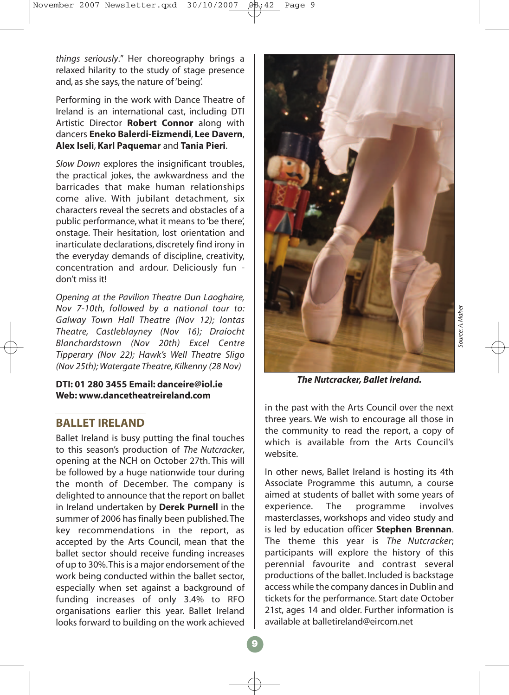*things seriously*." Her choreography brings a relaxed hilarity to the study of stage presence and, as she says, the nature of 'being'.

Performing in the work with Dance Theatre of Ireland is an international cast, including DTI Artistic Director **Robert Connor** along with dancers **Eneko Balerdi-Eizmendi**, **Lee Davern**, **Alex Iseli**, **Karl Paquemar** and **Tania Pieri**.

*Slow Down* explores the insignificant troubles, the practical jokes, the awkwardness and the barricades that make human relationships come alive. With jubilant detachment, six characters reveal the secrets and obstacles of a public performance, what it means to 'be there', onstage. Their hesitation, lost orientation and inarticulate declarations, discretely find irony in the everyday demands of discipline, creativity, concentration and ardour. Deliciously fun don't miss it!

*Opening at the Pavilion Theatre Dun Laoghaire, Nov 7-10th, followed by a national tour to: Galway Town Hall Theatre (Nov 12); Iontas Theatre, Castleblayney (Nov 16); Draíocht Blanchardstown (Nov 20th) Excel Centre Tipperary (Nov 22); Hawk's Well Theatre Sligo (Nov 25th); Watergate Theatre, Kilkenny (28 Nov)*

### **DTI: 01 280 3455 Email: danceire@iol.ie Web: www.dancetheatreireland.com**

# **BALLET IRELAND**

Ballet Ireland is busy putting the final touches to this season's production of *The Nutcracker*, opening at the NCH on October 27th. This will be followed by a huge nationwide tour during the month of December. The company is delighted to announce that the report on ballet in Ireland undertaken by **Derek Purnell** in the summer of 2006 has finally been published.The key recommendations in the report, as accepted by the Arts Council, mean that the ballet sector should receive funding increases of up to 30%.This is a major endorsement of the work being conducted within the ballet sector, especially when set against a background of funding increases of only 3.4% to RFO organisations earlier this year. Ballet Ireland looks forward to building on the work achieved



*The Nutcracker, Ballet Ireland.*

in the past with the Arts Council over the next three years. We wish to encourage all those in the community to read the report, a copy of which is available from the Arts Council's website.

In other news, Ballet Ireland is hosting its 4th Associate Programme this autumn, a course aimed at students of ballet with some years of experience. The programme involves masterclasses, workshops and video study and is led by education officer **Stephen Brennan**. The theme this year is *The Nutcracker*; participants will explore the history of this perennial favourite and contrast several productions of the ballet. Included is backstage access while the company dances in Dublin and tickets for the performance. Start date October 21st, ages 14 and older. Further information is available at balletireland@eircom.net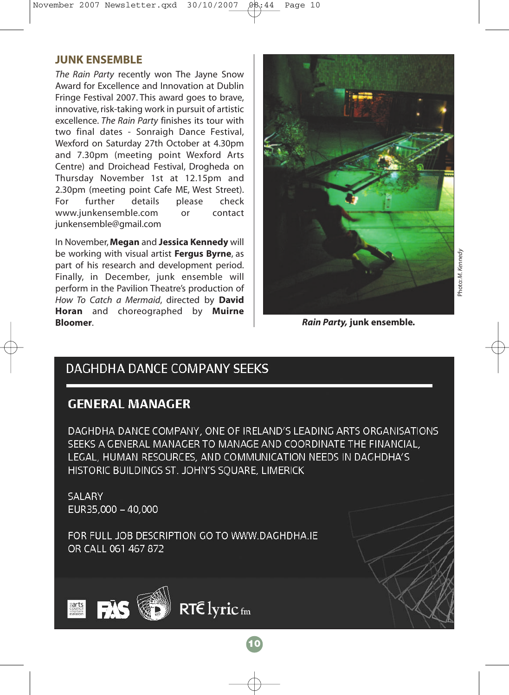# **JUNK ENSEMBLE**

*The Rain Party* recently won The Jayne Snow Award for Excellence and Innovation at Dublin Fringe Festival 2007. This award goes to brave, innovative, risk-taking work in pursuit of artistic excellence. *The Rain Party* finishes its tour with two final dates - Sonraigh Dance Festival, Wexford on Saturday 27th October at 4.30pm and 7.30pm (meeting point Wexford Arts Centre) and Droichead Festival, Drogheda on Thursday November 1st at 12.15pm and 2.30pm (meeting point Cafe ME, West Street). For further details please check www.junkensemble.com or contact junkensemble@gmail.com

In November,**Megan** and **Jessica Kennedy** will be working with visual artist **Fergus Byrne**, as part of his research and development period. Finally, in December, junk ensemble will perform in the Pavilion Theatre's production of *How To Catch a Mermaid*, directed by **David Horan** and choreographed by **Muirne Bloomer**.



*Rain Party,* **junk ensemble***.*

# **DAGHDHA DANCE COMPANY SEEKS**

# **GENERAL MANAGER**

DAGHDHA DANCE COMPANY, ONE OF IRELAND'S LEADING ARTS ORGANISATIONS SEEKS A GENERAL MANAGER TO MANAGE AND COORDINATE THE FINANCIAL, LEGAL, HUMAN RESOURCES, AND COMMUNICATION NEEDS IN DAGHDHA'S HISTORIC BUILDINGS ST. JOHN'S SOUARE, LIMERICK

**10**

SALARY EUR35,000 - 40,000

FOR FULL JOB DESCRIPTION GO TO WWW.DAGHDHA.IE OR CALL 061 467 872

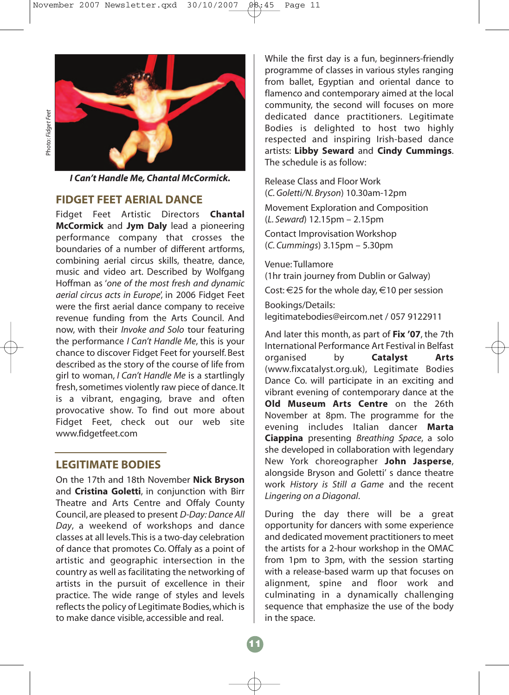

*I Can't Handle Me, Chantal McCormick.*

### **FIDGET FEET AERIAL DANCE**

Fidget Feet Artistic Directors **Chantal McCormick** and **Jym Daly** lead a pioneering performance company that crosses the boundaries of a number of different artforms, combining aerial circus skills, theatre, dance, music and video art. Described by Wolfgang Hoffman as '*one of the most fresh and dynamic aerial circus acts in Europe*', in 2006 Fidget Feet were the first aerial dance company to receive revenue funding from the Arts Council. And now, with their *Invoke and Solo* tour featuring the performance *I Can't Handle Me*, this is your chance to discover Fidget Feet for yourself. Best described as the story of the course of life from girl to woman, *I Can't Handle Me* is a startlingly fresh, sometimes violently raw piece of dance. It is a vibrant, engaging, brave and often provocative show. To find out more about Fidget Feet, check out our web site www.fidgetfeet.com

# **LEGITIMATE BODIES**

On the 17th and 18th November **Nick Bryson** and **Cristina Goletti**, in conjunction with Birr Theatre and Arts Centre and Offaly County Council, are pleased to present *D-Day: Dance All Day*, a weekend of workshops and dance classes at all levels.This is a two-day celebration of dance that promotes Co. Offaly as a point of artistic and geographic intersection in the country as well as facilitating the networking of artists in the pursuit of excellence in their practice. The wide range of styles and levels reflects the policy of Legitimate Bodies, which is to make dance visible, accessible and real.

While the first day is a fun, beginners-friendly programme of classes in various styles ranging from ballet, Egyptian and oriental dance to flamenco and contemporary aimed at the local community, the second will focuses on more dedicated dance practitioners. Legitimate Bodies is delighted to host two highly respected and inspiring Irish-based dance artists: **Libby Seward** and **Cindy Cummings**. The schedule is as follow:

Release Class and Floor Work (*C. Goletti/N. Bryson*) 10.30am-12pm Movement Exploration and Composition (*L. Seward*) 12.15pm – 2.15pm Contact Improvisation Workshop (*C. Cummings*) 3.15pm – 5.30pm

Venue: Tullamore (1hr train journey from Dublin or Galway)

Cost:  $\in$  25 for the whole day,  $\in$  10 per session

Bookings/Details: legitimatebodies@eircom.net / 057 9122911

And later this month, as part of **Fix '07**, the 7th International Performance Art Festival in Belfast organised by **Catalyst Arts** (www.fixcatalyst.org.uk), Legitimate Bodies Dance Co. will participate in an exciting and vibrant evening of contemporary dance at the **Old Museum Arts Centre** on the 26th November at 8pm. The programme for the evening includes Italian dancer **Marta Ciappina** presenting *Breathing Space*, a solo she developed in collaboration with legendary New York choreographer **John Jasperse**, alongside Bryson and Goletti' s dance theatre work *History is Still a Game* and the recent *Lingering on a Diagonal*.

During the day there will be a great opportunity for dancers with some experience and dedicated movement practitioners to meet the artists for a 2-hour workshop in the OMAC from 1pm to 3pm, with the session starting with a release-based warm up that focuses on alignment, spine and floor work and culminating in a dynamically challenging sequence that emphasize the use of the body in the space.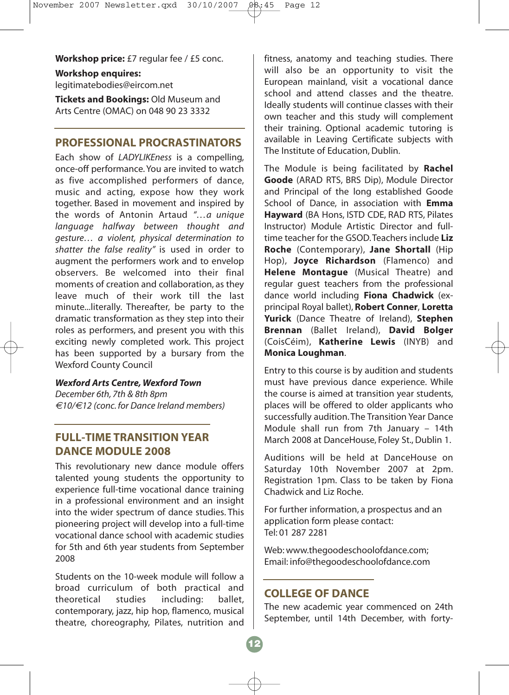### **Workshop price:** £7 regular fee / £5 conc.

**Workshop enquires:** legitimatebodies@eircom.net

**Tickets and Bookings:** Old Museum and Arts Centre (OMAC) on 048 90 23 3332

# **PROFESSIONAL PROCRASTINATORS**

Each show of *LADYLIKEness* is a compelling, once-off performance. You are invited to watch as five accomplished performers of dance, music and acting, expose how they work together. Based in movement and inspired by the words of Antonin Artaud *"…a unique language halfway between thought and gesture… a violent, physical determination to shatter the false reality"* is used in order to augment the performers work and to envelop observers. Be welcomed into their final moments of creation and collaboration, as they leave much of their work till the last minute...literally. Thereafter, be party to the dramatic transformation as they step into their roles as performers, and present you with this exciting newly completed work. This project has been supported by a bursary from the Wexford County Council

### *Wexford Arts Centre, Wexford Town*

*December 6th, 7th & 8th 8pm €10/€12 (conc. for Dance Ireland members)*

# **FULL-TIME TRANSITION YEAR DANCE MODULE 2008**

This revolutionary new dance module offers talented young students the opportunity to experience full-time vocational dance training in a professional environment and an insight into the wider spectrum of dance studies. This pioneering project will develop into a full-time vocational dance school with academic studies for 5th and 6th year students from September 2008

Students on the 10-week module will follow a broad curriculum of both practical and theoretical studies including: ballet, contemporary, jazz, hip hop, flamenco, musical theatre, choreography, Pilates, nutrition and

fitness, anatomy and teaching studies. There will also be an opportunity to visit the European mainland, visit a vocational dance school and attend classes and the theatre. Ideally students will continue classes with their own teacher and this study will complement their training. Optional academic tutoring is available in Leaving Certificate subjects with The Institute of Education, Dublin.

The Module is being facilitated by **Rachel Goode** (ARAD RTS, BRS Dip), Module Director and Principal of the long established Goode School of Dance, in association with **Emma Hayward** (BA Hons, ISTD CDE, RAD RTS, Pilates Instructor) Module Artistic Director and fulltime teacher for the GSOD.Teachers include **Liz Roche** (Contemporary), **Jane Shortall** (Hip Hop), **Joyce Richardson** (Flamenco) and **Helene Montague** (Musical Theatre) and regular guest teachers from the professional dance world including **Fiona Chadwick** (exprincipal Royal ballet), **Robert Conner**, **Loretta Yurick** (Dance Theatre of Ireland), **Stephen Brennan** (Ballet Ireland), **David Bolger** (CoisCéim), **Katherine Lewis** (INYB) and **Monica Loughman**.

Entry to this course is by audition and students must have previous dance experience. While the course is aimed at transition year students, places will be offered to older applicants who successfully audition. The Transition Year Dance Module shall run from 7th January – 14th March 2008 at DanceHouse, Foley St., Dublin 1.

Auditions will be held at DanceHouse on Saturday 10th November 2007 at 2pm. Registration 1pm. Class to be taken by Fiona Chadwick and Liz Roche.

For further information, a prospectus and an application form please contact: Tel: 01 287 2281

Web: www.thegoodeschoolofdance.com; Email: info@thegoodeschoolofdance.com

### **COLLEGE OF DANCE**

The new academic year commenced on 24th September, until 14th December, with forty-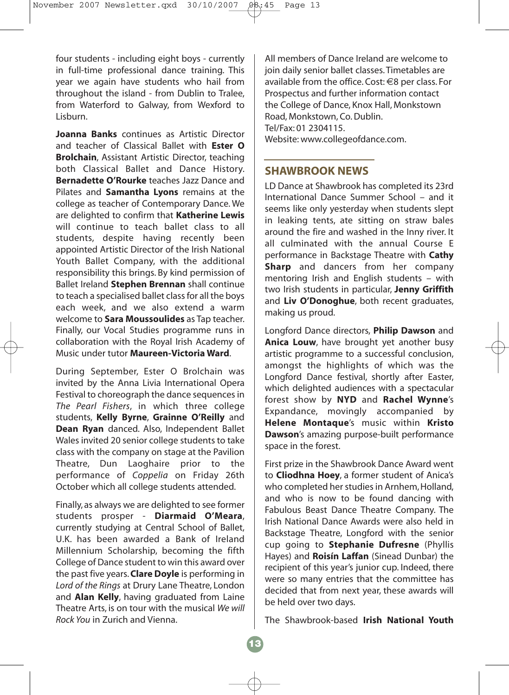four students - including eight boys - currently in full-time professional dance training. This year we again have students who hail from throughout the island - from Dublin to Tralee, from Waterford to Galway, from Wexford to Lisburn.

**Joanna Banks** continues as Artistic Director and teacher of Classical Ballet with **Ester O Brolchain**, Assistant Artistic Director, teaching both Classical Ballet and Dance History. **Bernadette O'Rourke** teaches Jazz Dance and Pilates and **Samantha Lyons** remains at the college as teacher of Contemporary Dance. We are delighted to confirm that **Katherine Lewis** will continue to teach ballet class to all students, despite having recently been appointed Artistic Director of the Irish National Youth Ballet Company, with the additional responsibility this brings. By kind permission of Ballet Ireland **Stephen Brennan** shall continue to teach a specialised ballet class for all the boys each week, and we also extend a warm welcome to **Sara Moussoulides** as Tap teacher. Finally, our Vocal Studies programme runs in collaboration with the Royal Irish Academy of Music under tutor **Maureen-Victoria Ward**.

During September, Ester O Brolchain was invited by the Anna Livia International Opera Festival to choreograph the dance sequences in *The Pearl Fishers*, in which three college students, **Kelly Byrne**, **Grainne O'Reilly** and **Dean Ryan** danced. Also, Independent Ballet Wales invited 20 senior college students to take class with the company on stage at the Pavilion Theatre, Dun Laoghaire prior to the performance of *Coppelia* on Friday 26th October which all college students attended.

Finally, as always we are delighted to see former students prosper - **Diarmaid O'Meara**, currently studying at Central School of Ballet, U.K. has been awarded a Bank of Ireland Millennium Scholarship, becoming the fifth College of Dance student to win this award over the past five years.**Clare Doyle** is performing in *Lord of the Rings* at Drury Lane Theatre, London and **Alan Kelly**, having graduated from Laine Theatre Arts, is on tour with the musical *We will Rock You* in Zurich and Vienna.

All members of Dance Ireland are welcome to join daily senior ballet classes. Timetables are available from the office. Cost: €8 per class. For Prospectus and further information contact the College of Dance, Knox Hall, Monkstown Road, Monkstown, Co. Dublin. Tel/Fax: 01 2304115. Website: www.collegeofdance.com.

### **SHAWBROOK NEWS**

LD Dance at Shawbrook has completed its 23rd International Dance Summer School – and it seems like only yesterday when students slept in leaking tents, ate sitting on straw bales around the fire and washed in the Inny river. It all culminated with the annual Course E performance in Backstage Theatre with **Cathy Sharp** and dancers from her company mentoring Irish and English students – with two Irish students in particular, **Jenny Griffith** and **Liv O'Donoghue**, both recent graduates, making us proud.

Longford Dance directors, **Philip Dawson** and **Anica Louw**, have brought yet another busy artistic programme to a successful conclusion, amongst the highlights of which was the Longford Dance festival, shortly after Easter, which delighted audiences with a spectacular forest show by **NYD** and **Rachel Wynne**'s Expandance, movingly accompanied by **Helene Montaque**'s music within **Kristo Dawson**'s amazing purpose-built performance space in the forest.

First prize in the Shawbrook Dance Award went to **Cliodhna Hoey**, a former student of Anica's who completed her studies in Arnhem, Holland, and who is now to be found dancing with Fabulous Beast Dance Theatre Company. The Irish National Dance Awards were also held in Backstage Theatre, Longford with the senior cup going to **Stephanie Dufresne** (Phyllis Hayes) and **Roisín Laffan** (Sinead Dunbar) the recipient of this year's junior cup. Indeed, there were so many entries that the committee has decided that from next year, these awards will be held over two days.

The Shawbrook-based **Irish National Youth**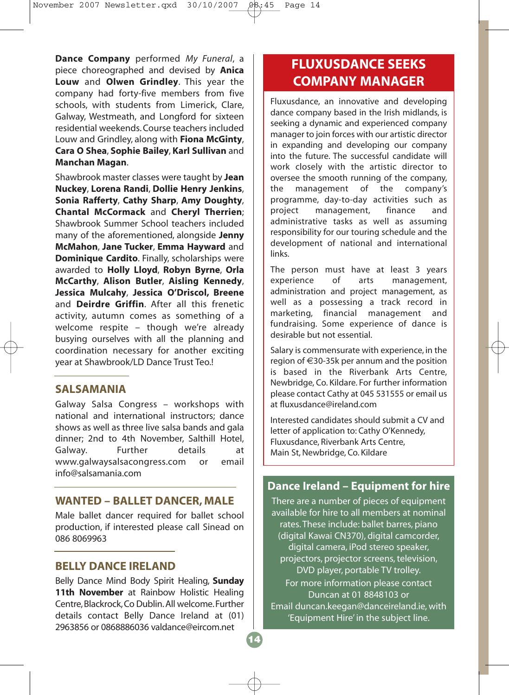**Dance Company** performed *My Funeral*, a piece choreographed and devised by **Anica Louw** and **Olwen Grindley**. This year the company had forty-five members from five schools, with students from Limerick, Clare, Galway, Westmeath, and Longford for sixteen residential weekends. Course teachers included Louw and Grindley, along with **Fiona McGinty**, **Cara O Shea**, **Sophie Bailey**, **Karl Sullivan** and **Manchan Magan**.

Shawbrook master classes were taught by **Jean Nuckey**, **Lorena Randi**, **Dollie Henry Jenkins**, **Sonia Rafferty**, **Cathy Sharp**, **Amy Doughty**, **Chantal McCormack** and **Cheryl Therrien**; Shawbrook Summer School teachers included many of the aforementioned, alongside **Jenny McMahon**, **Jane Tucker**, **Emma Hayward** and **Dominique Cardito**. Finally, scholarships were awarded to **Holly Lloyd**, **Robyn Byrne**, **Orla McCarthy**, **Alison Butler**, **Aisling Kennedy**, **Jessica Mulcahy**, **Jessica O'Driscol, Breene** and **Deirdre Griffin**. After all this frenetic activity, autumn comes as something of a welcome respite – though we're already busying ourselves with all the planning and coordination necessary for another exciting year at Shawbrook/LD Dance Trust Teo.!

# **SALSAMANIA**

Galway Salsa Congress – workshops with national and international instructors; dance shows as well as three live salsa bands and gala dinner; 2nd to 4th November, Salthill Hotel, Galway. Further details at www.galwaysalsacongress.com or email info@salsamania.com

### **WANTED – BALLET DANCER, MALE**

Male ballet dancer required for ballet school production, if interested please call Sinead on 086 8069963

### **BELLY DANCE IRELAND**

Belly Dance Mind Body Spirit Healing, **Sunday 11th November** at Rainbow Holistic Healing Centre, Blackrock, Co Dublin.All welcome.Further details contact Belly Dance Ireland at (01) 2963856 or 0868886036 valdance@eircom.net

# **FLUXUSDANCE SEEKS COMPANY MANAGER**

Fluxusdance, an innovative and developing dance company based in the Irish midlands, is seeking a dynamic and experienced company manager to join forces with our artistic director in expanding and developing our company into the future. The successful candidate will work closely with the artistic director to oversee the smooth running of the company, the management of the company's programme, day-to-day activities such as project management, finance and administrative tasks as well as assuming responsibility for our touring schedule and the development of national and international links.

The person must have at least 3 years experience of arts management, administration and project management, as well as a possessing a track record in marketing, financial management and fundraising. Some experience of dance is desirable but not essential.

Salary is commensurate with experience, in the region of €30-35k per annum and the position is based in the Riverbank Arts Centre, Newbridge, Co. Kildare. For further information please contact Cathy at 045 531555 or email us at fluxusdance@ireland.com

Interested candidates should submit a CV and letter of application to: Cathy O'Kennedy, Fluxusdance, Riverbank Arts Centre, Main St, Newbridge, Co. Kildare

# **Dance Ireland – Equipment for hire**

There are a number of pieces of equipment available for hire to all members at nominal rates. These include: ballet barres, piano (digital Kawai CN370), digital camcorder, digital camera, iPod stereo speaker, projectors, projector screens, television, DVD player, portable TV trolley. For more information please contact Duncan at 01 8848103 or Email duncan.keegan@danceireland.ie, with 'Equipment Hire' in the subject line.

**14**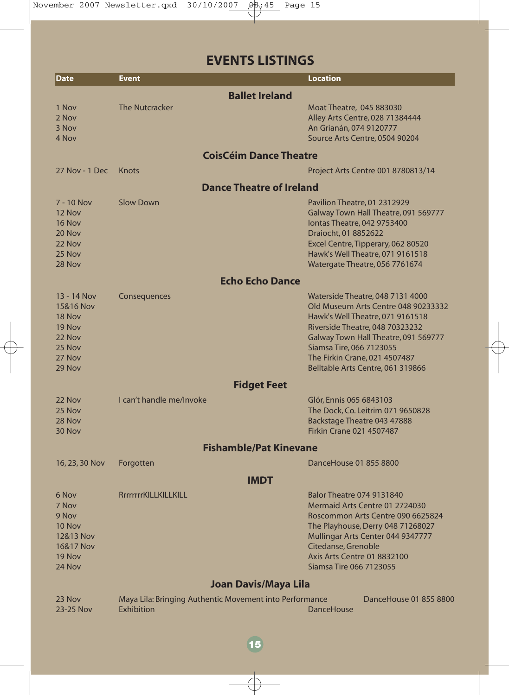# **EVENTS LISTINGS**

| <b>Date</b>                                                                          | <b>Event</b>                                                          | <b>Location</b>                                                                                                                                                                                                                                                                                 |
|--------------------------------------------------------------------------------------|-----------------------------------------------------------------------|-------------------------------------------------------------------------------------------------------------------------------------------------------------------------------------------------------------------------------------------------------------------------------------------------|
|                                                                                      | <b>Ballet Ireland</b>                                                 |                                                                                                                                                                                                                                                                                                 |
| 1 Nov<br>2 Nov<br>3 Nov<br>4 Nov                                                     | <b>The Nutcracker</b>                                                 | Moat Theatre, 045 883030<br>Alley Arts Centre, 028 71384444<br>An Grianán, 074 9120777<br>Source Arts Centre, 0504 90204                                                                                                                                                                        |
|                                                                                      | <b>CoisCéim Dance Theatre</b>                                         |                                                                                                                                                                                                                                                                                                 |
| 27 Nov - 1 Dec                                                                       | Knots                                                                 | Project Arts Centre 001 8780813/14                                                                                                                                                                                                                                                              |
|                                                                                      | <b>Dance Theatre of Ireland</b>                                       |                                                                                                                                                                                                                                                                                                 |
| 7 - 10 Nov<br>12 Nov<br>16 Nov<br>20 Nov<br>22 Nov<br>25 Nov<br>28 Nov               | <b>Slow Down</b>                                                      | Pavilion Theatre, 01 2312929<br>Galway Town Hall Theatre, 091 569777<br>lontas Theatre, 042 9753400<br>Draiocht, 01 8852622<br>Excel Centre, Tipperary, 062 80520<br>Hawk's Well Theatre, 071 9161518<br>Watergate Theatre, 056 7761674                                                         |
|                                                                                      | <b>Echo Echo Dance</b>                                                |                                                                                                                                                                                                                                                                                                 |
| 13 - 14 Nov<br>15&16 Nov<br>18 Nov<br>19 Nov<br>22 Nov<br>25 Nov<br>27 Nov<br>29 Nov | Consequences                                                          | Waterside Theatre, 048 7131 4000<br>Old Museum Arts Centre 048 90233332<br>Hawk's Well Theatre, 071 9161518<br><b>Riverside Theatre, 048 70323232</b><br>Galway Town Hall Theatre, 091 569777<br>Siamsa Tire, 066 7123055<br>The Firkin Crane, 021 4507487<br>Belltable Arts Centre, 061 319866 |
|                                                                                      | <b>Fidget Feet</b>                                                    |                                                                                                                                                                                                                                                                                                 |
| 22 Nov<br>25 Nov<br>28 Nov<br>30 Nov                                                 | I can't handle me/Invoke                                              | Glór, Ennis 065 6843103<br>The Dock, Co. Leitrim 071 9650828<br>Backstage Theatre 043 47888<br><b>Firkin Crane 021 4507487</b>                                                                                                                                                                  |
|                                                                                      | <b>Fishamble/Pat Kinevane</b>                                         |                                                                                                                                                                                                                                                                                                 |
| 16, 23, 30 Nov                                                                       | Forgotten                                                             | DanceHouse 01 855 8800                                                                                                                                                                                                                                                                          |
|                                                                                      | <b>IMDT</b>                                                           |                                                                                                                                                                                                                                                                                                 |
| 6 Nov<br>7 Nov<br>9 Nov<br>10 Nov<br>12&13 Nov<br>16&17 Nov<br>19 Nov<br>24 Nov      | RrrrrrrKILLKILLKILL                                                   | <b>Balor Theatre 074 9131840</b><br>Mermaid Arts Centre 01 2724030<br>Roscommon Arts Centre 090 6625824<br>The Playhouse, Derry 048 71268027<br>Mullingar Arts Center 044 9347777<br>Citedanse, Grenoble<br><b>Axis Arts Centre 01 8832100</b><br>Siamsa Tire 066 7123055                       |
|                                                                                      | Joan Davis/Maya Lila                                                  |                                                                                                                                                                                                                                                                                                 |
| 23 Nov<br>23-25 Nov                                                                  | Maya Lila: Bringing Authentic Movement into Performance<br>Exhibition | DanceHouse 01 855 8800<br><b>DanceHouse</b>                                                                                                                                                                                                                                                     |